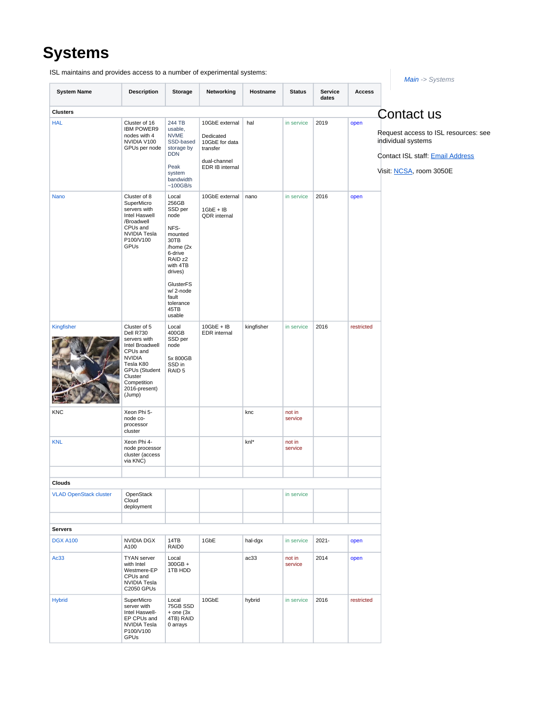## **Systems**

| <b>System Name</b>            | <b>Description</b>                                                                                                                                                                  | Storage                                                                                                                                                                                            | Networking                                                                 | Hostname   | <b>Status</b>     | Service  | <b>Access</b> |                                                                                                                           |
|-------------------------------|-------------------------------------------------------------------------------------------------------------------------------------------------------------------------------------|----------------------------------------------------------------------------------------------------------------------------------------------------------------------------------------------------|----------------------------------------------------------------------------|------------|-------------------|----------|---------------|---------------------------------------------------------------------------------------------------------------------------|
|                               |                                                                                                                                                                                     |                                                                                                                                                                                                    |                                                                            |            |                   | dates    |               |                                                                                                                           |
| <b>Clusters</b><br><b>HAL</b> | Cluster of 16                                                                                                                                                                       | 244 TB                                                                                                                                                                                             | 10GbE external                                                             | hal        | in service        | 2019     | open          | Contact us                                                                                                                |
|                               | <b>IBM POWER9</b><br>nodes with 4<br>NVIDIA V100<br>GPUs per node                                                                                                                   | usable,<br><b>NVME</b><br>SSD-based<br>storage by<br><b>DDN</b><br>Peak<br>system<br>bandwidth<br>~100GB/s                                                                                         | Dedicated<br>10GbE for data<br>transfer<br>dual-channel<br>EDR IB internal |            |                   |          |               | Request access to ISL resources: see<br>individual systems<br>Contact ISL staff: Email Address<br>Visit: NCSA, room 3050E |
| Nano                          | Cluster of 8<br>SuperMicro<br>servers with<br>Intel Haswell<br>/Broadwell<br>CPUs and<br>NVIDIA Tesla<br>P100/V100<br>GPUs                                                          | Local<br>256GB<br>SSD per<br>node<br>NFS-<br>mounted<br>30TB<br>/home (2x<br>6-drive<br>RAID <sub>z2</sub><br>with 4TB<br>drives)<br>GlusterFS<br>w/2-node<br>fault<br>tolerance<br>45TB<br>usable | 10GbE external<br>$1GbE + IB$<br>QDR internal                              | nano       | in service        | 2016     | open          |                                                                                                                           |
| Kingfisher                    | Cluster of 5<br>Dell R730<br>servers with<br>Intel Broadwell<br>CPUs and<br><b>NVIDIA</b><br>Tesla K80<br><b>GPUs (Student</b><br>Cluster<br>Competition<br>2016-present)<br>(Jump) | Local<br>400GB<br>SSD per<br>node<br>5x 800GB<br>SSD in<br>RAID <sub>5</sub>                                                                                                                       | $10GbE + IB$<br><b>EDR</b> internal                                        | kingfisher | in service        | 2016     | restricted    |                                                                                                                           |
| KNC                           | Xeon Phi 5-<br>node co-<br>processor<br>cluster                                                                                                                                     |                                                                                                                                                                                                    |                                                                            | knc        | not in<br>service |          |               |                                                                                                                           |
| <b>KNL</b>                    | Xeon Phi 4-<br>node processor<br>cluster (access<br>via KNC)                                                                                                                        |                                                                                                                                                                                                    |                                                                            | knl*       | not in<br>service |          |               |                                                                                                                           |
|                               |                                                                                                                                                                                     |                                                                                                                                                                                                    |                                                                            |            |                   |          |               |                                                                                                                           |
| Clouds                        |                                                                                                                                                                                     |                                                                                                                                                                                                    |                                                                            |            |                   |          |               |                                                                                                                           |
| <b>VLAD OpenStack cluster</b> | OpenStack<br>Cloud<br>deployment                                                                                                                                                    |                                                                                                                                                                                                    |                                                                            |            | in service        |          |               |                                                                                                                           |
|                               |                                                                                                                                                                                     |                                                                                                                                                                                                    |                                                                            |            |                   |          |               |                                                                                                                           |
| <b>Servers</b>                |                                                                                                                                                                                     |                                                                                                                                                                                                    |                                                                            |            |                   |          |               |                                                                                                                           |
| <b>DGX A100</b>               | <b>NVIDIA DGX</b><br>A100                                                                                                                                                           | 14TB<br>RAID0                                                                                                                                                                                      | 1GbE                                                                       | hal-dgx    | in service        | $2021 -$ | open          |                                                                                                                           |
| Ac33                          | <b>TYAN</b> server<br>with Intel<br>Westmere-EP<br>CPUs and<br>NVIDIA Tesla<br><b>C2050 GPUs</b>                                                                                    | Local<br>$300GB +$<br>1TB HDD                                                                                                                                                                      |                                                                            | ac33       | not in<br>service | 2014     | open          |                                                                                                                           |
| <b>Hybrid</b>                 | SuperMicro<br>server with<br>Intel Haswell-<br>EP CPUs and<br>NVIDIA Tesla<br>P100/V100<br>GPUs                                                                                     | Local<br>75GB SSD<br>$+$ one (3x)<br>4TB) RAID<br>0 arrays                                                                                                                                         | 10GbE                                                                      | hybrid     | in service        | 2016     | restricted    |                                                                                                                           |